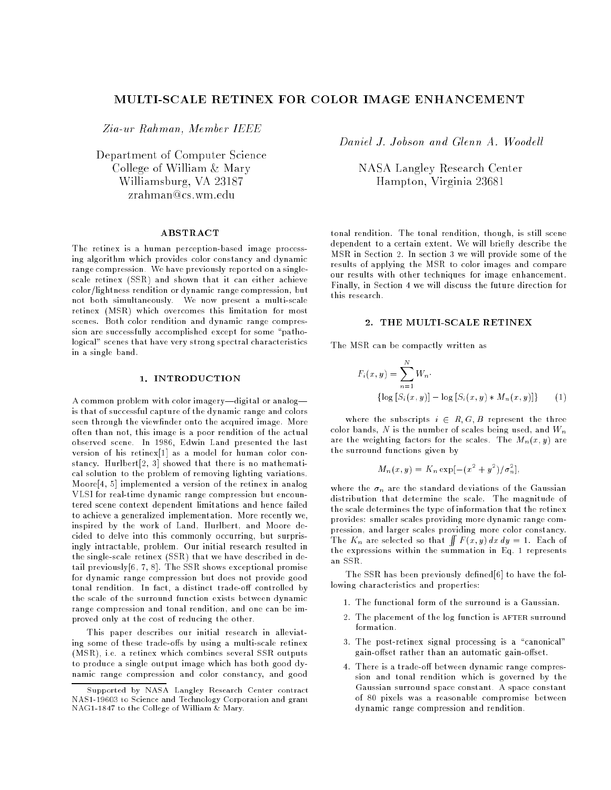# MULTI-SCALE RETINEX FOR COLOR IMAGE ENHANCEMENT

Zia-ur Rahman, Member IEEE

Department of Computer Science College of William & Mary Williamsburg, VA 23187  $z$ rahman@cs.wm.edu

#### ABSTRACT

The retinex is a human perception-based image processing algorithm which provides color constancy and dynamic range compression. We have previously reported on a singlescale retinex (SSR) and shown that it can either achieve color/lightness rendition or dynamic range compression, but not both simultaneously. We now present a multi-scale retinex (MSR) which overcomes this limitation for most scenes. Both color rendition and dynamic range compression are successfully accomplished except for some "pathological" scenes that have very strong spectral characteristics in a single band.

## 1. INTRODUCTION

A common problem with color imagery-digital or analogis that of successful capture of the dynamic range and colors seen through the viewfinder onto the acquired image. More often than not, this image is a poor rendition of the actual observed scene. In 1986, Edwin Land presented the last version of his retinex[1] as a model for human color constancy. Hurlbert[2, 3] showed that there is no mathematical solution to the problem of removing lighting variations. Moore[4, 5] implemented a version of the retinex in analog VLSI for real-time dynamic range compression but encountered scene context dependent limitations and hence failed to achieve a generalized implementation. More recently we, inspired by the work of Land, Hurlbert, and Moore decided to delve into this commonly occurring, but surprisingly intractable, problem. Our initial research resulted in the single-scale retinex (SSR) that we have described in detail previously $[6, 7, 8]$ . The SSR shows exceptional promise for dynamic range compression but does not provide good tonal rendition. In fact, a distinct trade-off controlled by the scale of the surround function exists between dynamic range compression and tonal rendition, and one can be improved only at the cost of reducing the other.

This paper describes our initial research in alleviating some of these trade-offs by using a multi-scale retinex (MSR), i.e. a retinex which combines several SSR outputs to produce a single output image which has both good dynamic range compression and color constancy, and good Daniel J. Jobson and Glenn A. Woodell

NASA Langley Research Center Hampton, Virginia 23681

tonal rendition. The tonal rendition, though, is still scene dependent to a certain extent. We will briefly describe the MSR in Section 2. In section 3 we will provide some of the results of applying the MSR to color images and compare our results with other techniques for image enhancement. Finally, in Section 4 we will discuss the future direction for this research.

### 2. THE MULTI-SCALE RETINEX

The MSR can be compactly written as

$$
F_i(x, y) = \sum_{n=1}^{N} W_n \cdot \left\{ \log \left[ S_i(x, y) \right] - \log \left[ S_i(x, y) * M_n(x, y) \right] \right\} \tag{1}
$$

where the subscripts  $i \in R$ , G, B represent the three color bands, N is the number of scales being used, and  $W_n$ are the weighting factors for the scales. The  $M_n(x, y)$  are the surround functions given by

$$
M_n(x, y) = K_n \exp[-(x^2 + y^2)/\sigma_n^2],
$$

where the  $\sigma_n$  are the standard deviations of the Gaussian distribution that determine the scale. The magnitude of the scale determines the type of information that the retinex provides: smaller scales providing more dynamic range compression, and larger scales providing more color constancy. The  $K_n$  are selected so that  $\int \int F(x, y) dx dy = 1$ . Each of the expressions within the summation in Eq. 1 represents an SSR.

The SSR has been previously defined[6] to have the following characteristics and properties:

- 1. The functional form of the surround is a Gaussian.
- 2. The placement of the log function is AFTER surround formation.
- 3. The post-retinex signal processing is a "canonical" gain-offset rather than an automatic gain-offset.
- 4. There is a trade-off between dynamic range compression and tonal rendition which is governed by the Gaussian surround space constant. A space constant of 80 pixels was a reasonable compromise between dynamic range compression and rendition.

Supported by NASA Langley Research Center contract NAS1-19603 to Science and Technology Corporation and grant NAG1-1847 to the College of William & Mary.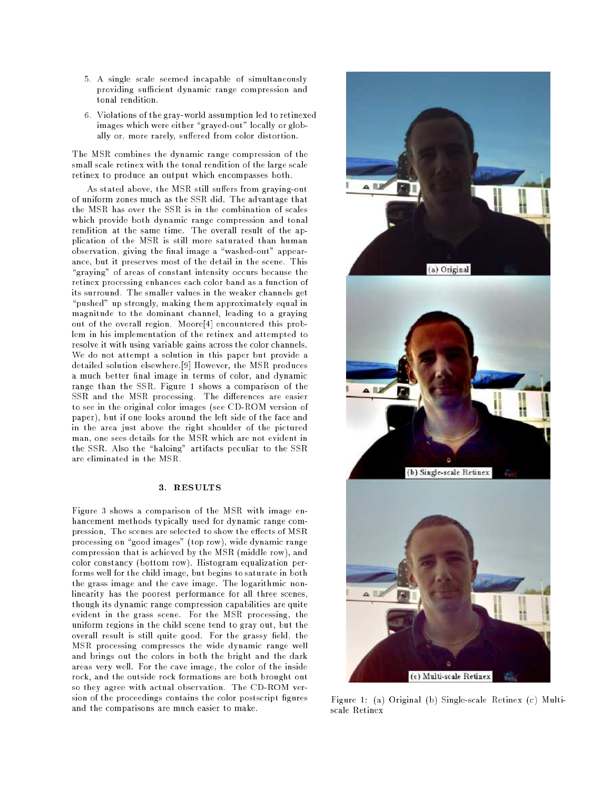- 5. A single scale seemed incapable of simultaneously providing sufficient dynamic range compression and tonal rendition.
- 6. Violations of the gray-world assumption led to retinexed images which were either "grayed-out" locally or globally or, more rarely, suffered from color distortion.

The MSR combines the dynamic range compression of the small scale retinex with the tonal rendition of the large scale retinex to produce an output which encompasses both.

As stated above, the MSR still suffers from graying-out of uniform zones much as the SSR did. The advantage that the MSR has over the SSR is in the combination of scales which provide both dynamic range compression and tonal rendition at the same time. The overall result of the application of the MSR is still more saturated than human observation, giving the final image a "washed-out" appearance, but it preserves most of the detail in the scene. This "graying" of areas of constant intensity occurs because the retinex processing enhances each color band as a function of its surround. The smaller values in the weaker channels get "pushed" up strongly, making them approximately equal in magnitude to the dominant channel, leading to a graying out of the overall region. Moore[4] encountered this problem in his implementation of the retinex and attempted to resolve it with using variable gains across the color channels. We do not attempt a solution in this paper but provide a detailed solution elsewhere.[9] However, the MSR produces a much better final image in terms of color, and dynamic range than the SSR. Figure 1 shows a comparison of the SSR and the MSR processing. The differences are easier to see in the original color images (see CD-ROM version of paper), but if one looks around the left side of the face and in the area just above the right shoulder of the pictured man, one sees details for the MSR which are not evident in the SSR. Also the "haloing" artifacts peculiar to the SSR

## 3. RESULTS

Figure 3 shows a comparison of the MSR with image enhancement methods typically used for dynamic range compression. The scenes are selected to show the effects of MSR processing on "good images" (top row), wide dynamic range compression that is achieved by the MSR (middle row), and color constancy (bottom row). Histogram equalization performs well for the child image, but begins to saturate in both the grass image and the cave image. The logarithmic nonlinearity has the poorest performance for all three scenes, though its dynamic range compression capabilities are quite evident in the grass scene. For the MSR processing, the uniform regions in the child scene tend to gray out, but the overall result is still quite good. For the grassy field, the MSR processing compresses the wide dynamic range well and brings out the colors in both the bright and the dark areas very well. For the cave image, the color of the inside rock, and the outside rock formations are both brought out so they agree with actual observation. The CD-ROM version of the proceedings contains the color postscript figures and the comparisons are much easier to make.



Figure 1: (a) Original (b) Single-scale Retinex (c) Multi-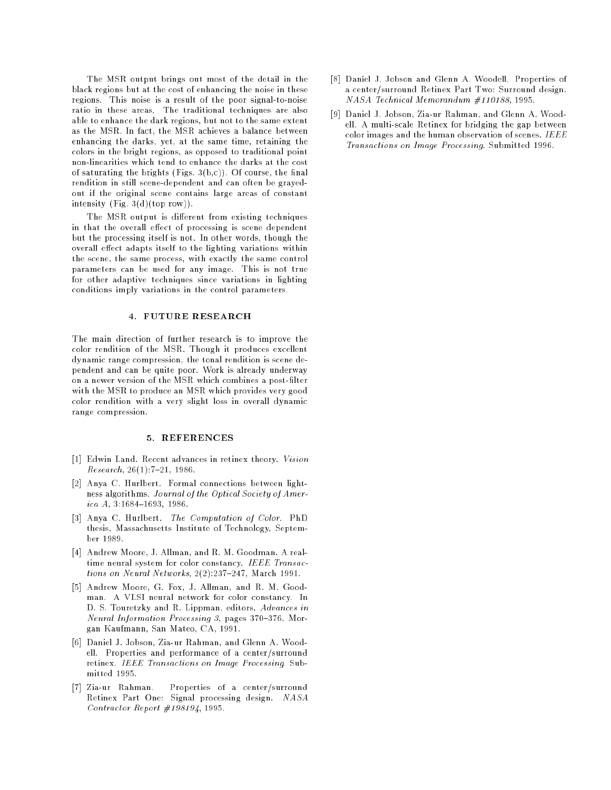The MSR output brings out most of the detail in the black regions but at the cost of enhancing the noise in these regions. This noise is a result of the poor signal-to-noise ratio in these areas. The traditional techniques are also able to enhance the dark regions, but not to the same extent as the MSR. In fact, the MSR achieves a balance between enhancing the darks, yet, at the same time, retaining the colors in the bright regions, as opposed to traditional point non-linearities which tend to enhance the darks at the cost of saturating the brights (Figs.  $3(b,c)$ ). Of course, the final rendition in still scene-dependent and can often be grayedout if the original scene contains large areas of constant intensity (Fig. 3(d)(top row)).

The MSR output is different from existing techniques in that the overall effect of processing is scene dependent but the processing itself is not. In other words, though the overall effect adapts itself to the lighting variations within the scene, the same process, with exactly the same control parameters can be used for any image. This is not true for other adaptive techniques since variations in lighting conditions imply variations in the control parameters.

#### 4. FUTURE RESEARCH

The main direction of further research is to improve the color rendition of the MSR. Though it produces excellent dynamic range compression, the tonal rendition is scene dependent and can be quite poor. Work is already underway on a newer version of the MSR which combines a post-filter with the MSR to produce an MSR which provides very good color rendition with a very slight loss in overall dynamic range compression.

## 5. REFERENCES

- [1] Edwin Land. Recent advances in retinex theory. Vision  $Research, 26(1):7-21, 1986.$
- [2] Anya C. Hurlbert. Formal connections between lightness algorithms. Journal of the Optical Society of America  $A$ , 3:1684-1693, 1986.
- [3] Anya C. Hurlbert. The Computation of Color. PhD thesis, Massachusetts Institute of Technology, September 1989.
- [4] Andrew Moore, J. Allman, and R. M. Goodman. A realtime neural system for color constancy. IEEE Transactions on Neural Networks,  $2(2):$   $237-247$ , March 1991.
- [5] Andrew Moore, G. Fox, J. Allman, and R. M. Goodman. A VLSI neural network for color constancy. In D. S. Touretzky and R. Lippman, editors, Advances in Neural Information Processing 3, pages  $370-376$ . Morgan Kaufmann, San Mateo, CA, 1991.
- [6] Daniel J. Jobson, Zia-ur Rahman, and Glenn A. Woodell. Properties and performance of a center/surround retinex. IEEE Transactions on Image Processing. Submitted 1995.
- [7] Zia-ur Rahman. Properties of a center/surround Retinex Part One: Signal processing design. NASA Contractor Report #198194, 1995.
- [8] Daniel J. Jobson and Glenn A. Woodell. Properties of a center/surround Retinex Part Two: Surround design. NASA Technical Memorandum #110188, 1995.
- [9] Daniel J. Jobson, Zia-ur Rahman, and Glenn A. Woodell. A multi-scale Retinex for bridging the gap between color images and the human observation of scenes. IEEE Transactions on Image Processing. Submitted 1996.